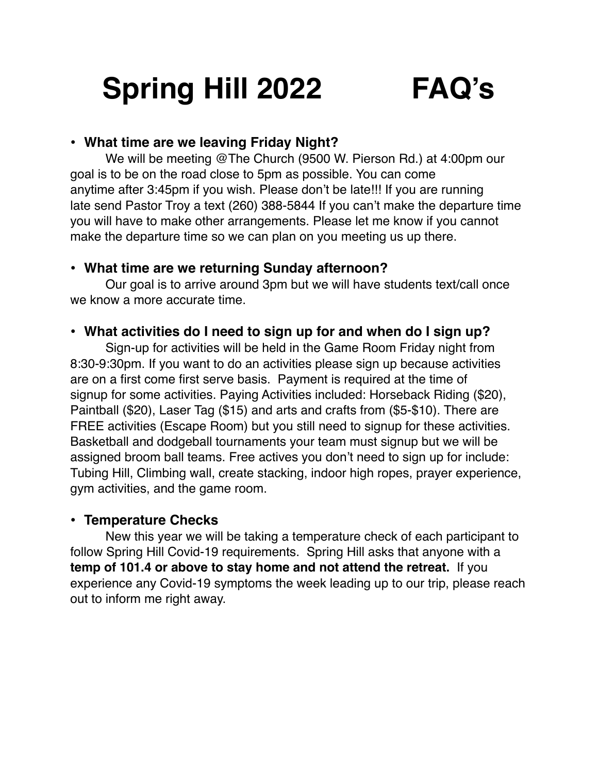# **Spring Hill 2022 FAQ's**

### **• What time are we leaving Friday Night?**

We will be meeting @The Church (9500 W. Pierson Rd.) at 4:00pm our goal is to be on the road close to 5pm as possible. You can come anytime after 3:45pm if you wish. Please don't be late!!! If you are running late send Pastor Troy a text (260) 388-5844 If you can't make the departure time you will have to make other arrangements. Please let me know if you cannot make the departure time so we can plan on you meeting us up there.

### **• What time are we returning Sunday afternoon?**

Our goal is to arrive around 3pm but we will have students text/call once we know a more accurate time.

# **• What activities do I need to sign up for and when do I sign up?**

Sign-up for activities will be held in the Game Room Friday night from 8:30-9:30pm. If you want to do an activities please sign up because activities are on a first come first serve basis. Payment is required at the time of signup for some activities. Paying Activities included: Horseback Riding (\$20), Paintball (\$20), Laser Tag (\$15) and arts and crafts from (\$5-\$10). There are FREE activities (Escape Room) but you still need to signup for these activities. Basketball and dodgeball tournaments your team must signup but we will be assigned broom ball teams. Free actives you don't need to sign up for include: Tubing Hill, Climbing wall, create stacking, indoor high ropes, prayer experience, gym activities, and the game room.

### **• Temperature Checks**

New this year we will be taking a temperature check of each participant to follow Spring Hill Covid-19 requirements. Spring Hill asks that anyone with a **temp of 101.4 or above to stay home and not attend the retreat.** If you experience any Covid-19 symptoms the week leading up to our trip, please reach out to inform me right away.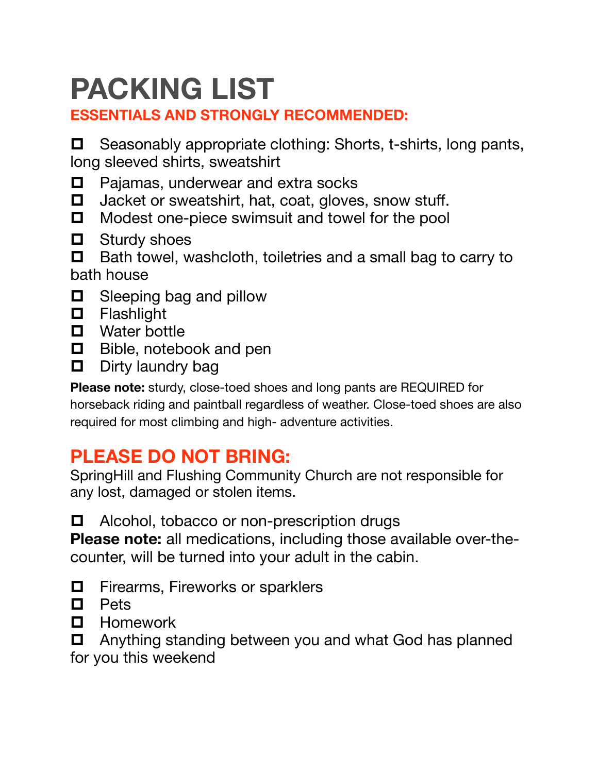# **PACKING LIST**

# **ESSENTIALS AND STRONGLY RECOMMENDED:**

 $\Box$  Seasonably appropriate clothing: Shorts, t-shirts, long pants, long sleeved shirts, sweatshirt

- $\Box$  Pajamas, underwear and extra socks
- $\Box$  Jacket or sweatshirt, hat, coat, gloves, snow stuff.
- $\Box$  Modest one-piece swimsuit and towel for the pool
- $\Box$  Sturdy shoes
- $\Box$  Bath towel, washcloth, toiletries and a small bag to carry to bath house
- $\Box$  Sleeping bag and pillow
- **D** Flashlight
- $\Box$  Water bottle
- $\Box$  Bible, notebook and pen
- $\Box$  Dirty laundry bag

**Please note:** sturdy, close-toed shoes and long pants are REQUIRED for horseback riding and paintball regardless of weather. Close-toed shoes are also required for most climbing and high- adventure activities.

# **PLEASE DO NOT BRING:**

SpringHill and Flushing Community Church are not responsible for any lost, damaged or stolen items.

 $\Box$  Alcohol, tobacco or non-prescription drugs

**Please note:** all medications, including those available over-thecounter, will be turned into your adult in the cabin.

- $\Box$  Firearms, Fireworks or sparklers
- $\Box$  Pets
- **D** Homework
- $\Box$  Anything standing between you and what God has planned
- for you this weekend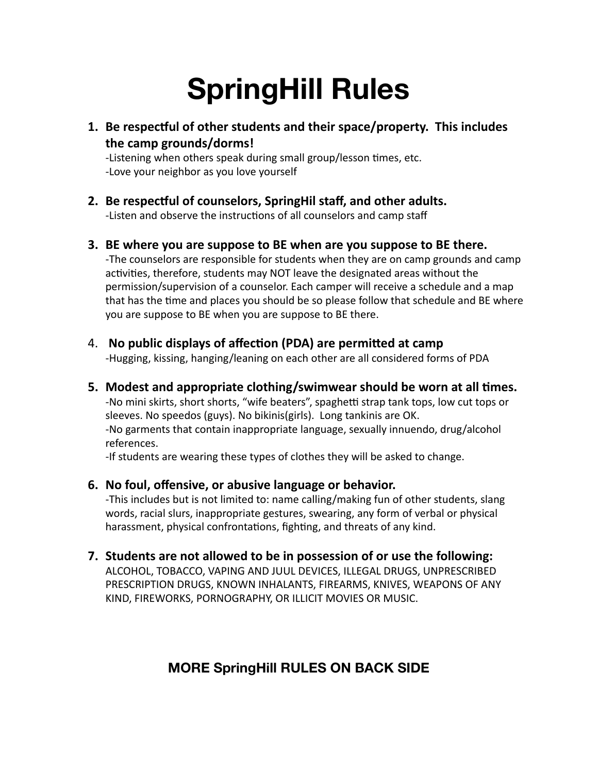# **SpringHill Rules**

1. Be respectful of other students and their space/property. This includes the camp grounds/dorms!

-Listening when others speak during small group/lesson times, etc. -Love your neighbor as you love yourself

### 2. Be respectful of counselors, SpringHil staff, and other adults.

-Listen and observe the instructions of all counselors and camp staff

**3.** BE where you are suppose to BE when are you suppose to BE there.

-The counselors are responsible for students when they are on camp grounds and camp activities, therefore, students may NOT leave the designated areas without the permission/supervision of a counselor. Each camper will receive a schedule and a map that has the time and places you should be so please follow that schedule and BE where you are suppose to BE when you are suppose to BE there.

4. No public displays of affection (PDA) are permitted at camp

-Hugging, kissing, hanging/leaning on each other are all considered forms of PDA

**5.** Modest and appropriate clothing/swimwear should be worn at all times. -No mini skirts, short shorts, "wife beaters", spaghetti strap tank tops, low cut tops or sleeves. No speedos (guys). No bikinis(girls). Long tankinis are OK. -No garments that contain inappropriate language, sexually innuendo, drug/alcohol references. 

-If students are wearing these types of clothes they will be asked to change.

### **6.** No foul, offensive, or abusive language or behavior.

-This includes but is not limited to: name calling/making fun of other students, slang words, racial slurs, inappropriate gestures, swearing, any form of verbal or physical harassment, physical confrontations, fighting, and threats of any kind.

**7.** Students are not allowed to be in possession of or use the following:

ALCOHOL, TOBACCO, VAPING AND JUUL DEVICES, ILLEGAL DRUGS, UNPRESCRIBED PRESCRIPTION DRUGS, KNOWN INHALANTS, FIREARMS, KNIVES, WEAPONS OF ANY KIND, FIREWORKS, PORNOGRAPHY, OR ILLICIT MOVIES OR MUSIC.

# **MORE SpringHill RULES ON BACK SIDE**